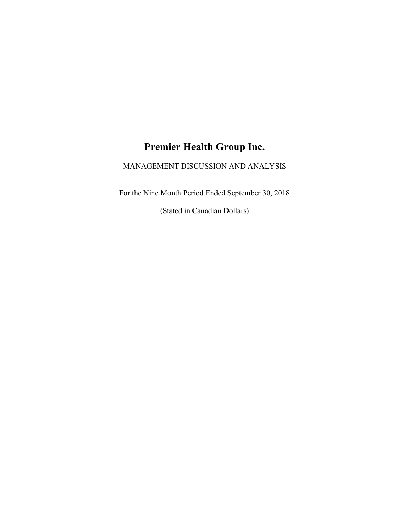# Premier Health Group Inc.

# MANAGEMENT DISCUSSION AND ANALYSIS

For the Nine Month Period Ended September 30, 2018

(Stated in Canadian Dollars)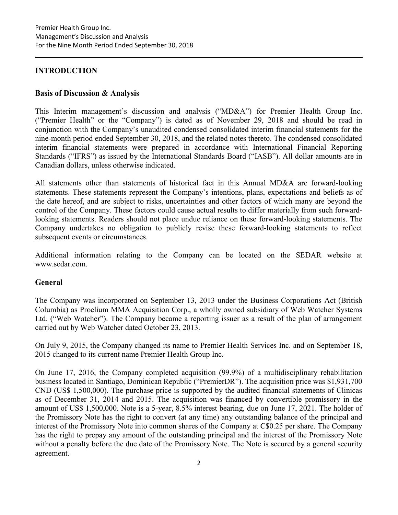# INTRODUCTION

# Basis of Discussion & Analysis

This Interim management's discussion and analysis ("MD&A") for Premier Health Group Inc. ("Premier Health" or the "Company") is dated as of November 29, 2018 and should be read in conjunction with the Company's unaudited condensed consolidated interim financial statements for the nine-month period ended September 30, 2018, and the related notes thereto. The condensed consolidated interim financial statements were prepared in accordance with International Financial Reporting Standards ("IFRS") as issued by the International Standards Board ("IASB"). All dollar amounts are in Canadian dollars, unless otherwise indicated.

All statements other than statements of historical fact in this Annual MD&A are forward-looking statements. These statements represent the Company's intentions, plans, expectations and beliefs as of the date hereof, and are subject to risks, uncertainties and other factors of which many are beyond the control of the Company. These factors could cause actual results to differ materially from such forwardlooking statements. Readers should not place undue reliance on these forward-looking statements. The Company undertakes no obligation to publicly revise these forward-looking statements to reflect subsequent events or circumstances.

Additional information relating to the Company can be located on the SEDAR website at www.sedar.com.

# General

The Company was incorporated on September 13, 2013 under the Business Corporations Act (British Columbia) as Proelium MMA Acquisition Corp., a wholly owned subsidiary of Web Watcher Systems Ltd. ("Web Watcher"). The Company became a reporting issuer as a result of the plan of arrangement carried out by Web Watcher dated October 23, 2013.

On July 9, 2015, the Company changed its name to Premier Health Services Inc. and on September 18, 2015 changed to its current name Premier Health Group Inc.

On June 17, 2016, the Company completed acquisition (99.9%) of a multidisciplinary rehabilitation business located in Santiago, Dominican Republic ("PremierDR"). The acquisition price was \$1,931,700 CND (US\$ 1,500,000). The purchase price is supported by the audited financial statements of Clinicas as of December 31, 2014 and 2015. The acquisition was financed by convertible promissory in the amount of US\$ 1,500,000. Note is a 5-year, 8.5% interest bearing, due on June 17, 2021. The holder of the Promissory Note has the right to convert (at any time) any outstanding balance of the principal and interest of the Promissory Note into common shares of the Company at C\$0.25 per share. The Company has the right to prepay any amount of the outstanding principal and the interest of the Promissory Note without a penalty before the due date of the Promissory Note. The Note is secured by a general security agreement.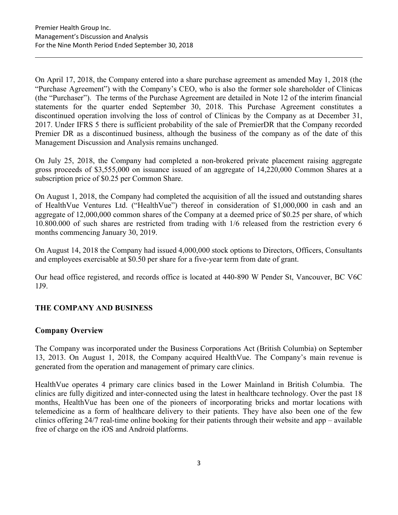On April 17, 2018, the Company entered into a share purchase agreement as amended May 1, 2018 (the "Purchase Agreement") with the Company's CEO, who is also the former sole shareholder of Clinicas (the "Purchaser"). The terms of the Purchase Agreement are detailed in Note 12 of the interim financial statements for the quarter ended September 30, 2018. This Purchase Agreement constitutes a discontinued operation involving the loss of control of Clinicas by the Company as at December 31, 2017. Under IFRS 5 there is sufficient probability of the sale of PremierDR that the Company recorded Premier DR as a discontinued business, although the business of the company as of the date of this Management Discussion and Analysis remains unchanged.

On July 25, 2018, the Company had completed a non-brokered private placement raising aggregate gross proceeds of \$3,555,000 on issuance issued of an aggregate of 14,220,000 Common Shares at a subscription price of \$0.25 per Common Share.

On August 1, 2018, the Company had completed the acquisition of all the issued and outstanding shares of HealthVue Ventures Ltd. ("HealthVue") thereof in consideration of \$1,000,000 in cash and an aggregate of 12,000,000 common shares of the Company at a deemed price of \$0.25 per share, of which 10.800.000 of such shares are restricted from trading with 1/6 released from the restriction every 6 months commencing January 30, 2019.

On August 14, 2018 the Company had issued 4,000,000 stock options to Directors, Officers, Consultants and employees exercisable at \$0.50 per share for a five-year term from date of grant.

Our head office registered, and records office is located at 440-890 W Pender St, Vancouver, BC V6C 1J9.

# THE COMPANY AND BUSINESS

# Company Overview

The Company was incorporated under the Business Corporations Act (British Columbia) on September 13, 2013. On August 1, 2018, the Company acquired HealthVue. The Company's main revenue is generated from the operation and management of primary care clinics.

HealthVue operates 4 primary care clinics based in the Lower Mainland in British Columbia. The clinics are fully digitized and inter-connected using the latest in healthcare technology. Over the past 18 months, HealthVue has been one of the pioneers of incorporating bricks and mortar locations with telemedicine as a form of healthcare delivery to their patients. They have also been one of the few clinics offering 24/7 real-time online booking for their patients through their website and app – available free of charge on the iOS and Android platforms.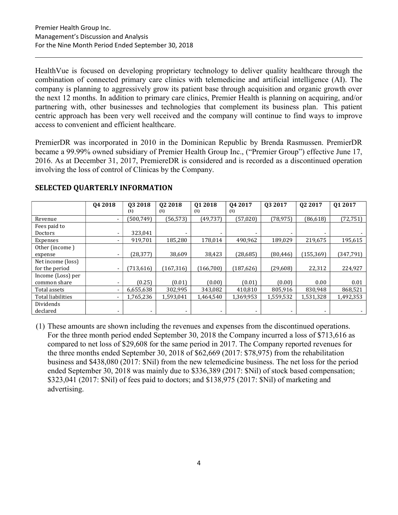HealthVue is focused on developing proprietary technology to deliver quality healthcare through the combination of connected primary care clinics with telemedicine and artificial intelligence (AI). The company is planning to aggressively grow its patient base through acquisition and organic growth over the next 12 months. In addition to primary care clinics, Premier Health is planning on acquiring, and/or partnering with, other businesses and technologies that complement its business plan. This patient centric approach has been very well received and the company will continue to find ways to improve access to convenient and efficient healthcare.

PremierDR was incorporated in 2010 in the Dominican Republic by Brenda Rasmussen. PremierDR became a 99.99% owned subsidiary of Premier Health Group Inc., ("Premier Group") effective June 17, 2016. As at December 31, 2017, PremiereDR is considered and is recorded as a discontinued operation involving the loss of control of Clinicas by the Company.

|                   | Q4 2018                  | 03 2018<br>(1) | 02 2018<br>(1)           | Q1 2018<br>(1) | Q4 2017<br>(1) | 03 2017   | Q <sub>2</sub> 2017 | Q1 2017    |
|-------------------|--------------------------|----------------|--------------------------|----------------|----------------|-----------|---------------------|------------|
| Revenue           | ۰                        | (500, 749)     | (56, 573)                | (49, 737)      | (57,020)       | (78, 975) | (86, 618)           | (72, 751)  |
| Fees paid to      |                          |                |                          |                |                |           |                     |            |
| <b>Doctors</b>    | ۰                        | 323,041        |                          | -              |                | -         |                     |            |
| Expenses          | $\blacksquare$           | 919,701        | 185,280                  | 178,014        | 490,962        | 189,029   | 219,675             | 195,615    |
| Other (income)    |                          |                |                          |                |                |           |                     |            |
| expense           | $\blacksquare$           | (28, 377)      | 38,609                   | 38,423         | (28, 685)      | (80,446)  | (155, 369)          | (347, 791) |
| Net income (loss) |                          |                |                          |                |                |           |                     |            |
| for the period    | $\overline{\phantom{a}}$ | (713, 616)     | (167, 316)               | (166, 700)     | (187, 626)     | (29,608)  | 22,312              | 224,927    |
| Income (Loss) per |                          |                |                          |                |                |           |                     |            |
| common share      | ۰                        | (0.25)         | (0.01)                   | (0.00)         | (0.01)         | (0.00)    | 0.00                | 0.01       |
| Total assets      | ۰                        | 6,655,638      | 302,995                  | 343,082        | 410,810        | 805,916   | 830,948             | 868,521    |
| Total liabilities | $\overline{\phantom{a}}$ | 1,765,236      | 1,593,041                | 1,464,540      | 1,369,953      | 1,559,532 | 1,531,328           | 1,492,353  |
| Dividends         |                          |                |                          |                |                |           |                     |            |
| declared          |                          |                | $\overline{\phantom{a}}$ | ۰              |                |           | ۰                   |            |

# SELECTED QUARTERLY INFORMATION

(1) These amounts are shown including the revenues and expenses from the discontinued operations. For the three month period ended September 30, 2018 the Company incurred a loss of \$713,616 as compared to net loss of \$29,608 for the same period in 2017. The Company reported revenues for the three months ended September 30, 2018 of \$62,669 (2017: \$78,975) from the rehabilitation business and \$438,080 (2017: \$Nil) from the new telemedicine business. The net loss for the period ended September 30, 2018 was mainly due to \$336,389 (2017: \$Nil) of stock based compensation; \$323,041 (2017: \$Nil) of fees paid to doctors; and \$138,975 (2017: \$Nil) of marketing and advertising.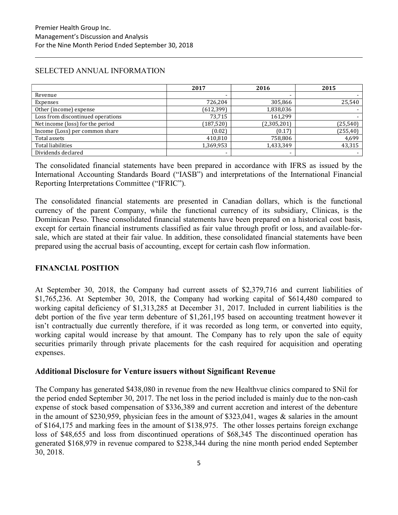# SELECTED ANNUAL INFORMATION

|                                   | 2017       | 2016        | 2015      |
|-----------------------------------|------------|-------------|-----------|
| Revenue                           |            |             |           |
| Expenses                          | 726,204    | 305,866     | 25,540    |
| Other (income) expense            | (612, 399) | 1,838,036   |           |
| Loss from discontinued operations | 73.715     | 161,299     |           |
| Net income (loss) for the period  | (187, 520) | (2,305,201) | (25, 540) |
| Income (Loss) per common share    | (0.02)     | (0.17)      | (255, 40) |
| Total assets                      | 410,810    | 758,806     | 4,699     |
| <b>Total liabilities</b>          | 1,369,953  | 1,433,349   | 43,315    |
| Dividends declared                | -          | -           |           |

The consolidated financial statements have been prepared in accordance with IFRS as issued by the International Accounting Standards Board ("IASB") and interpretations of the International Financial Reporting Interpretations Committee ("IFRIC").

The consolidated financial statements are presented in Canadian dollars, which is the functional currency of the parent Company, while the functional currency of its subsidiary, Clinicas, is the Dominican Peso. These consolidated financial statements have been prepared on a historical cost basis, except for certain financial instruments classified as fair value through profit or loss, and available-forsale, which are stated at their fair value. In addition, these consolidated financial statements have been prepared using the accrual basis of accounting, except for certain cash flow information.

# FINANCIAL POSITION

At September 30, 2018, the Company had current assets of \$2,379,716 and current liabilities of \$1,765,236. At September 30, 2018, the Company had working capital of \$614,480 compared to working capital deficiency of \$1,313,285 at December 31, 2017. Included in current liabilities is the debt portion of the five year term debenture of \$1,261,195 based on accounting treatment however it isn't contractually due currently therefore, if it was recorded as long term, or converted into equity, working capital would increase by that amount. The Company has to rely upon the sale of equity securities primarily through private placements for the cash required for acquisition and operating expenses.

# Additional Disclosure for Venture issuers without Significant Revenue

The Company has generated \$438,080 in revenue from the new Healthvue clinics compared to \$Nil for the period ended September 30, 2017. The net loss in the period included is mainly due to the non-cash expense of stock based compensation of \$336,389 and current accretion and interest of the debenture in the amount of \$230,959, physician fees in the amount of \$323,041, wages & salaries in the amount of \$164,175 and marking fees in the amount of \$138,975. The other losses pertains foreign exchange loss of \$48,655 and loss from discontinued operations of \$68,345 The discontinued operation has generated \$168,979 in revenue compared to \$238,344 during the nine month period ended September 30, 2018.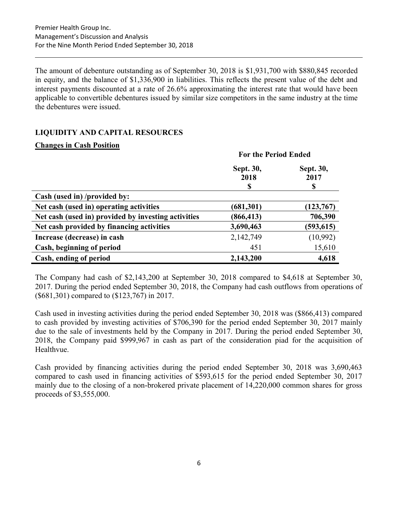The amount of debenture outstanding as of September 30, 2018 is \$1,931,700 with \$880,845 recorded in equity, and the balance of \$1,336,900 in liabilities. This reflects the present value of the debt and interest payments discounted at a rate of 26.6% approximating the interest rate that would have been applicable to convertible debentures issued by similar size competitors in the same industry at the time the debentures were issued.

# LIQUIDITY AND CAPITAL RESOURCES

# Changes in Cash Position

|                                                     | <b>For the Period Ended</b> |            |
|-----------------------------------------------------|-----------------------------|------------|
|                                                     | Sept. 30,                   | Sept. 30,  |
|                                                     | 2018<br>\$                  | 2017<br>S  |
| Cash (used in) /provided by:                        |                             |            |
| Net cash (used in) operating activities             | (681,301)                   | (123, 767) |
| Net cash (used in) provided by investing activities | (866, 413)                  | 706,390    |
| Net cash provided by financing activities           | 3,690,463                   | (593, 615) |
| Increase (decrease) in cash                         | 2,142,749                   | (10,992)   |
| Cash, beginning of period                           | 451                         | 15,610     |
| Cash, ending of period                              | 2,143,200                   | 4,618      |

The Company had cash of \$2,143,200 at September 30, 2018 compared to \$4,618 at September 30, 2017. During the period ended September 30, 2018, the Company had cash outflows from operations of (\$681,301) compared to (\$123,767) in 2017.

Cash used in investing activities during the period ended September 30, 2018 was (\$866,413) compared to cash provided by investing activities of \$706,390 for the period ended September 30, 2017 mainly due to the sale of investments held by the Company in 2017. During the period ended September 30, 2018, the Company paid \$999,967 in cash as part of the consideration piad for the acquisition of Healthvue.

Cash provided by financing activities during the period ended September 30, 2018 was 3,690,463 compared to cash used in financing activities of \$593,615 for the period ended September 30, 2017 mainly due to the closing of a non-brokered private placement of 14,220,000 common shares for gross proceeds of \$3,555,000.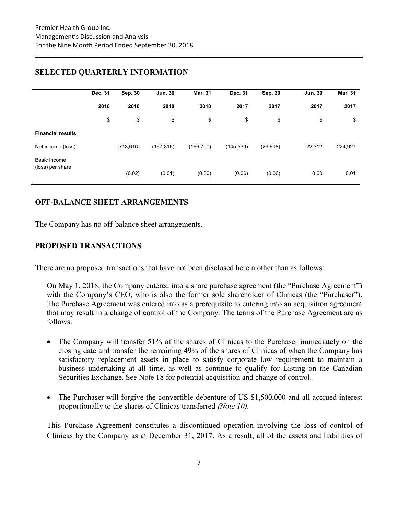|                           | Dec. 31 | Sep. 30    | <b>Jun. 30</b> | <b>Mar. 31</b> | Dec. 31    | Sep. 30   | <b>Jun. 30</b> | <b>Mar. 31</b> |
|---------------------------|---------|------------|----------------|----------------|------------|-----------|----------------|----------------|
|                           | 2018    | 2018       | 2018           | 2018           | 2017       | 2017      | 2017           | 2017           |
|                           | \$      | \$         | \$             | \$             | \$         | \$        | \$             | \$             |
| <b>Financial results:</b> |         |            |                |                |            |           |                |                |
| Net income (loss)         |         | (713, 616) | (167, 316)     | (166, 700)     | (145, 539) | (29, 608) | 22,312         | 224,927        |
| Basic income              |         |            |                |                |            |           |                |                |
| (loss) per share          |         | (0.02)     | (0.01)         | (0.00)         | (0.00)     | (0.00)    | 0.00           | 0.01           |

# SELECTED QUARTERLY INFORMATION

# OFF-BALANCE SHEET ARRANGEMENTS

The Company has no off-balance sheet arrangements.

# PROPOSED TRANSACTIONS

There are no proposed transactions that have not been disclosed herein other than as follows:

On May 1, 2018, the Company entered into a share purchase agreement (the "Purchase Agreement") with the Company's CEO, who is also the former sole shareholder of Clinicas (the "Purchaser"). The Purchase Agreement was entered into as a prerequisite to entering into an acquisition agreement that may result in a change of control of the Company. The terms of the Purchase Agreement are as follows:

- The Company will transfer 51% of the shares of Clinicas to the Purchaser immediately on the closing date and transfer the remaining 49% of the shares of Clinicas of when the Company has satisfactory replacement assets in place to satisfy corporate law requirement to maintain a business undertaking at all time, as well as continue to qualify for Listing on the Canadian Securities Exchange. See Note 18 for potential acquisition and change of control.
- The Purchaser will forgive the convertible debenture of US \$1,500,000 and all accrued interest proportionally to the shares of Clinicas transferred (Note 10).

This Purchase Agreement constitutes a discontinued operation involving the loss of control of Clinicas by the Company as at December 31, 2017. As a result, all of the assets and liabilities of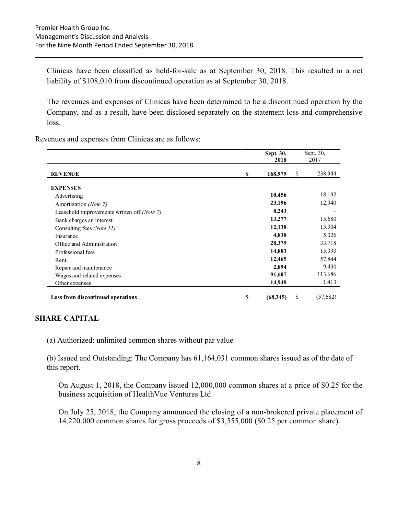Clinicas have been classified as held-for-sale as at September 30, 2018. This resulted in a net liability of \$108,010 from discontinued operation as at September 30, 2018.

The revenues and expenses of Clinicas have been determined to be a discontinued operation by the Company, and as a result, have been disclosed separately on the statement loss and comprehensive loss.

Revenues and expenses from Clinicas are as follows:

|                                             | Sept. 30,      | Sept. 30,      |
|---------------------------------------------|----------------|----------------|
|                                             | 2018           | 2017           |
| <b>REVENUE</b>                              | \$<br>168,979  | \$<br>238,344  |
| <b>EXPENSES</b>                             |                |                |
| Advertising                                 | 10,456         | 18,192         |
| Amortization (Note 7)                       | 23,196         | 12,340         |
| Leasehold improvements written off (Note 7) | 8,243          |                |
| Bank charges an interest                    | 13,277         | 15,680         |
| Consulting fees (Note 11)                   | 12,138         | 13,304         |
| Insurance                                   | 4,838          | 5,026          |
| Office and Administration                   | 28,379         | 33,718         |
| Professional fees                           | 14,883         | 15,393         |
| Rent                                        | 12,465         | 57,844         |
| Repair and maintenance                      | 2,894          | 9,430          |
| Wages and related expenses                  | 91,607         | 113,686        |
| Other expenses                              | 14,948         | 1,413          |
| <b>Loss from discontinued operations</b>    | \$<br>(68,345) | \$<br>(57,682) |

#### SHARE CAPITAL

(a) Authorized: unlimited common shares without par value

(b) Issued and Outstanding: The Company has 61,164,031 common shares issued as of the date of this report.

On August 1, 2018, the Company issued 12,000,000 common shares at a price of \$0.25 for the business acquisition of HealthVue Ventures Ltd.

On July 25, 2018, the Company announced the closing of a non-brokered private placement of 14,220,000 common shares for gross proceeds of \$3,555,000 (\$0.25 per common share).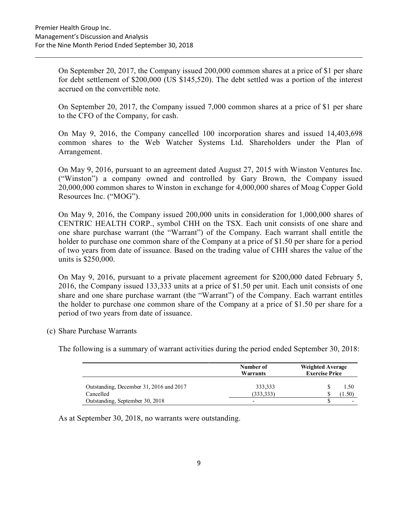On September 20, 2017, the Company issued 200,000 common shares at a price of \$1 per share for debt settlement of \$200,000 (US \$145,520). The debt settled was a portion of the interest accrued on the convertible note.

On September 20, 2017, the Company issued 7,000 common shares at a price of \$1 per share to the CFO of the Company, for cash.

On May 9, 2016, the Company cancelled 100 incorporation shares and issued 14,403,698 common shares to the Web Watcher Systems Ltd. Shareholders under the Plan of Arrangement.

On May 9, 2016, pursuant to an agreement dated August 27, 2015 with Winston Ventures Inc. ("Winston") a company owned and controlled by Gary Brown, the Company issued 20,000,000 common shares to Winston in exchange for 4,000,000 shares of Moag Copper Gold Resources Inc. ("MOG").

On May 9, 2016, the Company issued 200,000 units in consideration for 1,000,000 shares of CENTRIC HEALTH CORP., symbol CHH on the TSX. Each unit consists of one share and one share purchase warrant (the "Warrant") of the Company. Each warrant shall entitle the holder to purchase one common share of the Company at a price of \$1.50 per share for a period of two years from date of issuance. Based on the trading value of CHH shares the value of the units is \$250,000.

On May 9, 2016, pursuant to a private placement agreement for \$200,000 dated February 5, 2016, the Company issued 133,333 units at a price of \$1.50 per unit. Each unit consists of one share and one share purchase warrant (the "Warrant") of the Company. Each warrant entitles the holder to purchase one common share of the Company at a price of \$1.50 per share for a period of two years from date of issuance.

(c) Share Purchase Warrants

The following is a summary of warrant activities during the period ended September 30, 2018:

|                                         | Number of<br>Warrants    | <b>Weighted Average</b><br><b>Exercise Price</b> |  |  |
|-----------------------------------------|--------------------------|--------------------------------------------------|--|--|
| Outstanding, December 31, 2016 and 2017 | 333,333                  | 1.50                                             |  |  |
| Cancelled                               | (333, 333)               | $4.50^{\circ}$                                   |  |  |
| Outstanding, September 30, 2018         | $\overline{\phantom{0}}$ |                                                  |  |  |

As at September 30, 2018, no warrants were outstanding.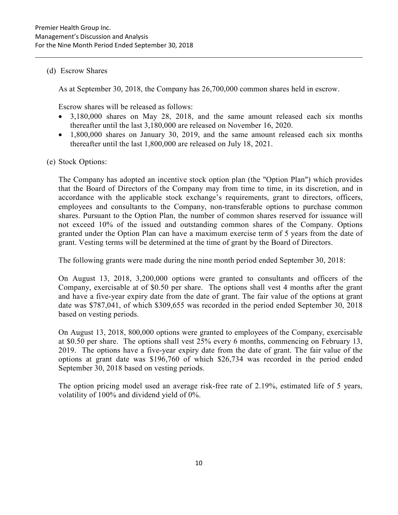# (d) Escrow Shares

As at September 30, 2018, the Company has 26,700,000 common shares held in escrow.

Escrow shares will be released as follows:

- 3,180,000 shares on May 28, 2018, and the same amount released each six months thereafter until the last 3,180,000 are released on November 16, 2020.
- 1,800,000 shares on January 30, 2019, and the same amount released each six months thereafter until the last 1,800,000 are released on July 18, 2021.

# (e) Stock Options:

The Company has adopted an incentive stock option plan (the "Option Plan") which provides that the Board of Directors of the Company may from time to time, in its discretion, and in accordance with the applicable stock exchange's requirements, grant to directors, officers, employees and consultants to the Company, non-transferable options to purchase common shares. Pursuant to the Option Plan, the number of common shares reserved for issuance will not exceed 10% of the issued and outstanding common shares of the Company. Options granted under the Option Plan can have a maximum exercise term of 5 years from the date of grant. Vesting terms will be determined at the time of grant by the Board of Directors.

The following grants were made during the nine month period ended September 30, 2018:

On August 13, 2018, 3,200,000 options were granted to consultants and officers of the Company, exercisable at of \$0.50 per share. The options shall vest 4 months after the grant and have a five-year expiry date from the date of grant. The fair value of the options at grant date was \$787,041, of which \$309,655 was recorded in the period ended September 30, 2018 based on vesting periods.

On August 13, 2018, 800,000 options were granted to employees of the Company, exercisable at \$0.50 per share. The options shall vest 25% every 6 months, commencing on February 13, 2019. The options have a five-year expiry date from the date of grant. The fair value of the options at grant date was \$196,760 of which \$26,734 was recorded in the period ended September 30, 2018 based on vesting periods.

The option pricing model used an average risk-free rate of 2.19%, estimated life of 5 years, volatility of 100% and dividend yield of 0%.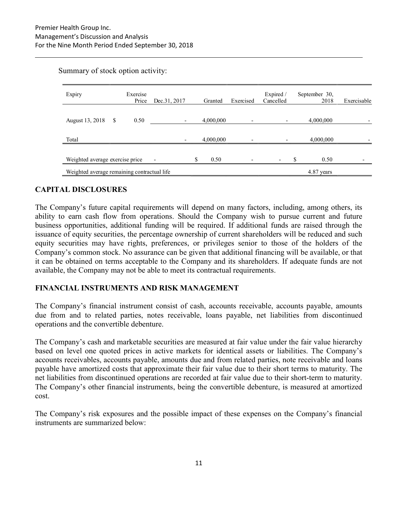| Expiry                                      |     | Exercise<br>Price | Dec.31, 2017 | Granted    | Exercised | Expired /<br>Cancelled   | September 30,<br>2018 | Exercisable |
|---------------------------------------------|-----|-------------------|--------------|------------|-----------|--------------------------|-----------------------|-------------|
| August 13, 2018                             | - S | 0.50              |              | 4,000,000  |           |                          | 4,000,000             |             |
| Total                                       |     |                   |              | 4,000,000  |           |                          | 4,000,000             |             |
| Weighted average exercise price             |     |                   |              | \$<br>0.50 |           | $\overline{\phantom{a}}$ | \$<br>0.50            |             |
| Weighted average remaining contractual life |     |                   |              |            |           |                          | 4.87 years            |             |

#### Summary of stock option activity:

# CAPITAL DISCLOSURES

The Company's future capital requirements will depend on many factors, including, among others, its ability to earn cash flow from operations. Should the Company wish to pursue current and future business opportunities, additional funding will be required. If additional funds are raised through the issuance of equity securities, the percentage ownership of current shareholders will be reduced and such equity securities may have rights, preferences, or privileges senior to those of the holders of the Company's common stock. No assurance can be given that additional financing will be available, or that it can be obtained on terms acceptable to the Company and its shareholders. If adequate funds are not available, the Company may not be able to meet its contractual requirements.

#### FINANCIAL INSTRUMENTS AND RISK MANAGEMENT

The Company's financial instrument consist of cash, accounts receivable, accounts payable, amounts due from and to related parties, notes receivable, loans payable, net liabilities from discontinued operations and the convertible debenture.

The Company's cash and marketable securities are measured at fair value under the fair value hierarchy based on level one quoted prices in active markets for identical assets or liabilities. The Company's accounts receivables, accounts payable, amounts due and from related parties, note receivable and loans payable have amortized costs that approximate their fair value due to their short terms to maturity. The net liabilities from discontinued operations are recorded at fair value due to their short-term to maturity. The Company's other financial instruments, being the convertible debenture, is measured at amortized cost.

The Company's risk exposures and the possible impact of these expenses on the Company's financial instruments are summarized below: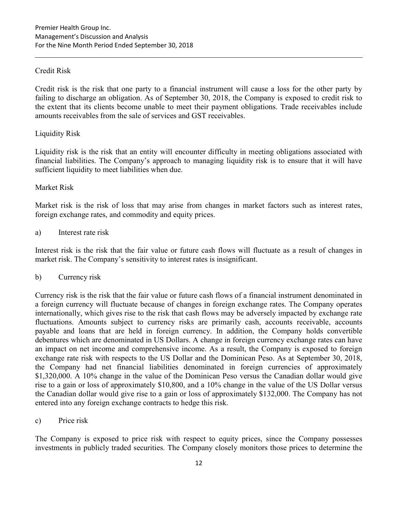# Credit Risk

Credit risk is the risk that one party to a financial instrument will cause a loss for the other party by failing to discharge an obligation. As of September 30, 2018, the Company is exposed to credit risk to the extent that its clients become unable to meet their payment obligations. Trade receivables include amounts receivables from the sale of services and GST receivables.

#### Liquidity Risk

Liquidity risk is the risk that an entity will encounter difficulty in meeting obligations associated with financial liabilities. The Company's approach to managing liquidity risk is to ensure that it will have sufficient liquidity to meet liabilities when due.

# Market Risk

Market risk is the risk of loss that may arise from changes in market factors such as interest rates, foreign exchange rates, and commodity and equity prices.

#### a) Interest rate risk

Interest risk is the risk that the fair value or future cash flows will fluctuate as a result of changes in market risk. The Company's sensitivity to interest rates is insignificant.

#### b) Currency risk

Currency risk is the risk that the fair value or future cash flows of a financial instrument denominated in a foreign currency will fluctuate because of changes in foreign exchange rates. The Company operates internationally, which gives rise to the risk that cash flows may be adversely impacted by exchange rate fluctuations. Amounts subject to currency risks are primarily cash, accounts receivable, accounts payable and loans that are held in foreign currency. In addition, the Company holds convertible debentures which are denominated in US Dollars. A change in foreign currency exchange rates can have an impact on net income and comprehensive income. As a result, the Company is exposed to foreign exchange rate risk with respects to the US Dollar and the Dominican Peso. As at September 30, 2018, the Company had net financial liabilities denominated in foreign currencies of approximately \$1,320,000. A 10% change in the value of the Dominican Peso versus the Canadian dollar would give rise to a gain or loss of approximately \$10,800, and a 10% change in the value of the US Dollar versus the Canadian dollar would give rise to a gain or loss of approximately \$132,000. The Company has not entered into any foreign exchange contracts to hedge this risk.

c) Price risk

The Company is exposed to price risk with respect to equity prices, since the Company possesses investments in publicly traded securities. The Company closely monitors those prices to determine the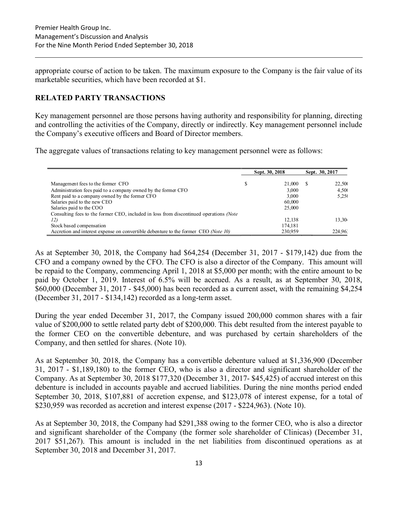appropriate course of action to be taken. The maximum exposure to the Company is the fair value of its marketable securities, which have been recorded at \$1.

# RELATED PARTY TRANSACTIONS

Key management personnel are those persons having authority and responsibility for planning, directing and controlling the activities of the Company, directly or indirectly. Key management personnel include the Company's executive officers and Board of Director members.

The aggregate values of transactions relating to key management personnel were as follows:

|                                                                                        | Sept. 30, 2018 | Sept. 30, 2017 |                 |
|----------------------------------------------------------------------------------------|----------------|----------------|-----------------|
| Management fees to the former CFO                                                      | 21,000         |                | 22,500          |
| Administration fees paid to a company owned by the former CFO                          | 3.000          |                | 4.500           |
| Rent paid to a company owned by the former CFO                                         | 3.000          |                | 5,250           |
| Salaries paid to the new CEO                                                           | 60,000         |                |                 |
| Salaries paid to the COO                                                               | 25,000         |                |                 |
| Consulting fees to the former CEO, included in loss from discontinued operations (Note |                |                |                 |
| 12)                                                                                    | 12.138         |                | $13.30^{\circ}$ |
| Stock based compensation                                                               | 174.181        |                |                 |
| Accretion and interest expense on convertible debenture to the former CEO (Note 10)    | 230.959        |                | 224.96.         |

As at September 30, 2018, the Company had \$64,254 (December 31, 2017 - \$179,142) due from the CFO and a company owned by the CFO. The CFO is also a director of the Company. This amount will be repaid to the Company, commencing April 1, 2018 at \$5,000 per month; with the entire amount to be paid by October 1, 2019. Interest of 6.5% will be accrued. As a result, as at September 30, 2018, \$60,000 (December 31, 2017 - \$45,000) has been recorded as a current asset, with the remaining \$4,254 (December 31, 2017 - \$134,142) recorded as a long-term asset.

During the year ended December 31, 2017, the Company issued 200,000 common shares with a fair value of \$200,000 to settle related party debt of \$200,000. This debt resulted from the interest payable to the former CEO on the convertible debenture, and was purchased by certain shareholders of the Company, and then settled for shares. (Note 10).

As at September 30, 2018, the Company has a convertible debenture valued at \$1,336,900 (December 31, 2017 - \$1,189,180) to the former CEO, who is also a director and significant shareholder of the Company. As at September 30, 2018 \$177,320 (December 31, 2017- \$45,425) of accrued interest on this debenture is included in accounts payable and accrued liabilities. During the nine months period ended September 30, 2018, \$107,881 of accretion expense, and \$123,078 of interest expense, for a total of \$230,959 was recorded as accretion and interest expense (2017 - \$224,963). (Note 10).

As at September 30, 2018, the Company had \$291,388 owing to the former CEO, who is also a director and significant shareholder of the Company (the former sole shareholder of Clinicas) (December 31, 2017 \$51,267). This amount is included in the net liabilities from discontinued operations as at September 30, 2018 and December 31, 2017.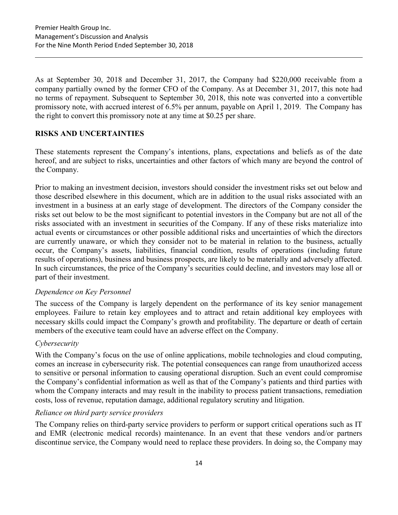As at September 30, 2018 and December 31, 2017, the Company had \$220,000 receivable from a company partially owned by the former CFO of the Company. As at December 31, 2017, this note had no terms of repayment. Subsequent to September 30, 2018, this note was converted into a convertible promissory note, with accrued interest of 6.5% per annum, payable on April 1, 2019. The Company has the right to convert this promissory note at any time at \$0.25 per share.

# RISKS AND UNCERTAINTIES

These statements represent the Company's intentions, plans, expectations and beliefs as of the date hereof, and are subject to risks, uncertainties and other factors of which many are beyond the control of the Company.

Prior to making an investment decision, investors should consider the investment risks set out below and those described elsewhere in this document, which are in addition to the usual risks associated with an investment in a business at an early stage of development. The directors of the Company consider the risks set out below to be the most significant to potential investors in the Company but are not all of the risks associated with an investment in securities of the Company. If any of these risks materialize into actual events or circumstances or other possible additional risks and uncertainties of which the directors are currently unaware, or which they consider not to be material in relation to the business, actually occur, the Company's assets, liabilities, financial condition, results of operations (including future results of operations), business and business prospects, are likely to be materially and adversely affected. In such circumstances, the price of the Company's securities could decline, and investors may lose all or part of their investment.

#### Dependence on Key Personnel

The success of the Company is largely dependent on the performance of its key senior management employees. Failure to retain key employees and to attract and retain additional key employees with necessary skills could impact the Company's growth and profitability. The departure or death of certain members of the executive team could have an adverse effect on the Company.

#### Cybersecurity

With the Company's focus on the use of online applications, mobile technologies and cloud computing, comes an increase in cybersecurity risk. The potential consequences can range from unauthorized access to sensitive or personal information to causing operational disruption. Such an event could compromise the Company's confidential information as well as that of the Company's patients and third parties with whom the Company interacts and may result in the inability to process patient transactions, remediation costs, loss of revenue, reputation damage, additional regulatory scrutiny and litigation.

#### Reliance on third party service providers

The Company relies on third-party service providers to perform or support critical operations such as IT and EMR (electronic medical records) maintenance. In an event that these vendors and/or partners discontinue service, the Company would need to replace these providers. In doing so, the Company may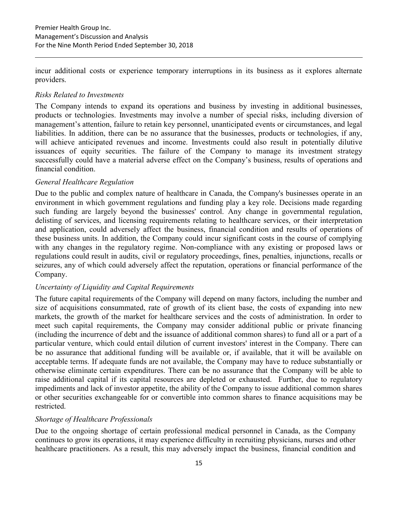incur additional costs or experience temporary interruptions in its business as it explores alternate providers.

#### Risks Related to Investments

The Company intends to expand its operations and business by investing in additional businesses, products or technologies. Investments may involve a number of special risks, including diversion of management's attention, failure to retain key personnel, unanticipated events or circumstances, and legal liabilities. In addition, there can be no assurance that the businesses, products or technologies, if any, will achieve anticipated revenues and income. Investments could also result in potentially dilutive issuances of equity securities. The failure of the Company to manage its investment strategy successfully could have a material adverse effect on the Company's business, results of operations and financial condition.

#### General Healthcare Regulation

Due to the public and complex nature of healthcare in Canada, the Company's businesses operate in an environment in which government regulations and funding play a key role. Decisions made regarding such funding are largely beyond the businesses' control. Any change in governmental regulation, delisting of services, and licensing requirements relating to healthcare services, or their interpretation and application, could adversely affect the business, financial condition and results of operations of these business units. In addition, the Company could incur significant costs in the course of complying with any changes in the regulatory regime. Non-compliance with any existing or proposed laws or regulations could result in audits, civil or regulatory proceedings, fines, penalties, injunctions, recalls or seizures, any of which could adversely affect the reputation, operations or financial performance of the Company.

# Uncertainty of Liquidity and Capital Requirements

The future capital requirements of the Company will depend on many factors, including the number and size of acquisitions consummated, rate of growth of its client base, the costs of expanding into new markets, the growth of the market for healthcare services and the costs of administration. In order to meet such capital requirements, the Company may consider additional public or private financing (including the incurrence of debt and the issuance of additional common shares) to fund all or a part of a particular venture, which could entail dilution of current investors' interest in the Company. There can be no assurance that additional funding will be available or, if available, that it will be available on acceptable terms. If adequate funds are not available, the Company may have to reduce substantially or otherwise eliminate certain expenditures. There can be no assurance that the Company will be able to raise additional capital if its capital resources are depleted or exhausted. Further, due to regulatory impediments and lack of investor appetite, the ability of the Company to issue additional common shares or other securities exchangeable for or convertible into common shares to finance acquisitions may be restricted.

#### Shortage of Healthcare Professionals

Due to the ongoing shortage of certain professional medical personnel in Canada, as the Company continues to grow its operations, it may experience difficulty in recruiting physicians, nurses and other healthcare practitioners. As a result, this may adversely impact the business, financial condition and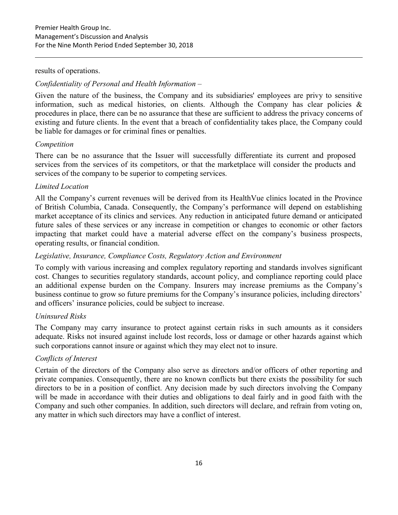#### results of operations.

#### Confidentiality of Personal and Health Information –

Given the nature of the business, the Company and its subsidiaries' employees are privy to sensitive information, such as medical histories, on clients. Although the Company has clear policies  $\&$ procedures in place, there can be no assurance that these are sufficient to address the privacy concerns of existing and future clients. In the event that a breach of confidentiality takes place, the Company could be liable for damages or for criminal fines or penalties.

#### Competition

There can be no assurance that the Issuer will successfully differentiate its current and proposed services from the services of its competitors, or that the marketplace will consider the products and services of the company to be superior to competing services.

#### Limited Location

All the Company's current revenues will be derived from its HealthVue clinics located in the Province of British Columbia, Canada. Consequently, the Company's performance will depend on establishing market acceptance of its clinics and services. Any reduction in anticipated future demand or anticipated future sales of these services or any increase in competition or changes to economic or other factors impacting that market could have a material adverse effect on the company's business prospects, operating results, or financial condition.

#### Legislative, Insurance, Compliance Costs, Regulatory Action and Environment

To comply with various increasing and complex regulatory reporting and standards involves significant cost. Changes to securities regulatory standards, account policy, and compliance reporting could place an additional expense burden on the Company. Insurers may increase premiums as the Company's business continue to grow so future premiums for the Company's insurance policies, including directors' and officers' insurance policies, could be subject to increase.

#### Uninsured Risks

The Company may carry insurance to protect against certain risks in such amounts as it considers adequate. Risks not insured against include lost records, loss or damage or other hazards against which such corporations cannot insure or against which they may elect not to insure.

#### Conflicts of Interest

Certain of the directors of the Company also serve as directors and/or officers of other reporting and private companies. Consequently, there are no known conflicts but there exists the possibility for such directors to be in a position of conflict. Any decision made by such directors involving the Company will be made in accordance with their duties and obligations to deal fairly and in good faith with the Company and such other companies. In addition, such directors will declare, and refrain from voting on, any matter in which such directors may have a conflict of interest.